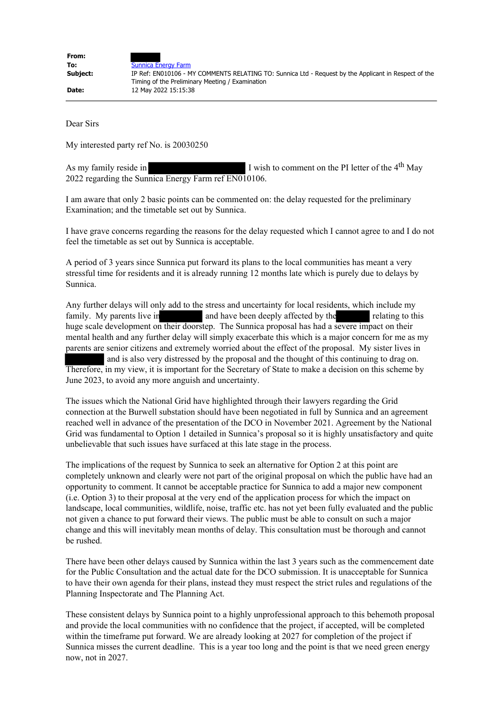| From:    |                                                                                                                                                         |
|----------|---------------------------------------------------------------------------------------------------------------------------------------------------------|
| To:      | <b>Sunnica Energy Farm</b>                                                                                                                              |
| Subject: | IP Ref: EN010106 - MY COMMENTS RELATING TO: Sunnica Ltd - Request by the Applicant in Respect of the<br>Timing of the Preliminary Meeting / Examination |
| Date:    | 12 May 2022 15:15:38                                                                                                                                    |

Dear Sirs

My interested party ref No. is 20030250

As my family reside in I wish to comment on the PI letter of the 4<sup>th</sup> May 2022 regarding the Sunnica Energy Farm ref EN010106.

I am aware that only 2 basic points can be commented on: the delay requested for the preliminary Examination; and the timetable set out by Sunnica.

I have grave concerns regarding the reasons for the delay requested which I cannot agree to and I do not feel the timetable as set out by Sunnica is acceptable.

A period of 3 years since Sunnica put forward its plans to the local communities has meant a very stressful time for residents and it is already running 12 months late which is purely due to delays by Sunnica.

Any further delays will only add to the stress and uncertainty for local residents, which include my family. My parents live in and have been deeply affected by the relating to this huge scale development on their doorstep. The Sunnica proposal has had a severe impact on their mental health and any further delay will simply exacerbate this which is a major concern for me as my parents are senior citizens and extremely worried about the effect of the proposal. My sister lives in and is also very distressed by the proposal and the thought of this continuing to drag on. Therefore, in my view, it is important for the Secretary of State to make a decision on this scheme by June 2023, to avoid any more anguish and uncertainty.

The issues which the National Grid have highlighted through their lawyers regarding the Grid connection at the Burwell substation should have been negotiated in full by Sunnica and an agreement reached well in advance of the presentation of the DCO in November 2021. Agreement by the National Grid was fundamental to Option 1 detailed in Sunnica's proposal so it is highly unsatisfactory and quite unbelievable that such issues have surfaced at this late stage in the process.

The implications of the request by Sunnica to seek an alternative for Option 2 at this point are completely unknown and clearly were not part of the original proposal on which the public have had an opportunity to comment. It cannot be acceptable practice for Sunnica to add a major new component (i.e. Option 3) to their proposal at the very end of the application process for which the impact on landscape, local communities, wildlife, noise, traffic etc. has not yet been fully evaluated and the public not given a chance to put forward their views. The public must be able to consult on such a major change and this will inevitably mean months of delay. This consultation must be thorough and cannot be rushed.

There have been other delays caused by Sunnica within the last 3 years such as the commencement date for the Public Consultation and the actual date for the DCO submission. It is unacceptable for Sunnica to have their own agenda for their plans, instead they must respect the strict rules and regulations of the Planning Inspectorate and The Planning Act.

These consistent delays by Sunnica point to a highly unprofessional approach to this behemoth proposal and provide the local communities with no confidence that the project, if accepted, will be completed within the timeframe put forward. We are already looking at 2027 for completion of the project if Sunnica misses the current deadline. This is a year too long and the point is that we need green energy now, not in 2027.